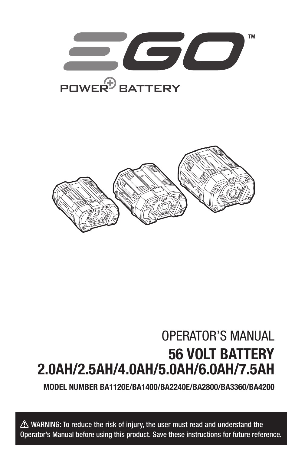



## OPERATOR'S MANUAL 56 VOLT BATTERY 2.0AH/2.5AH/4.0AH/5.0AH/6.0AH/7.5AH

MODEL NUMBER BA1120E/BA1400/BA2240E/BA2800/BA3360/BA4200

 $\triangle$  WARNING: To reduce the risk of injury, the user must read and understand the Operator's Manual before using this product. Save these instructions for future reference.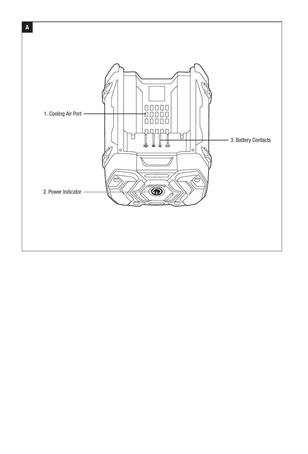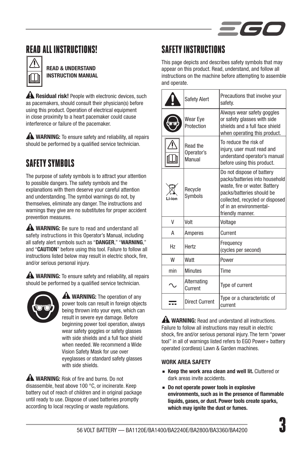

## READ ALL INSTRUCTIONS!



READ & UNDERSTAND INSTRUCTION MANUAL

**A Residual risk!** People with electronic devices, such as pacemakers, should consult their physician(s) before using this product. Operation of electrical equipment in close proximity to a heart pacemaker could cause interference or failure of the pacemaker.

**A WARNING:** To ensure safety and reliability, all repairs should be performed by a qualified service technician.

## SAFETY SYMBOLS

The purpose of safety symbols is to attract your attention to possible dangers. The safety symbols and the explanations with them deserve your careful attention and understanding. The symbol warnings do not, by themselves, eliminate any danger. The instructions and warnings they give are no substitutes for proper accident prevention measures.

**A WARNING:** Be sure to read and understand all safety instructions in this Operator's Manual, including all safety alert symbols such as "DANGER," "WARNING," and "CAUTION" before using this tool. Failure to follow all instructions listed below may result in electric shock, fire, and/or serious personal injury.

**A WARNING:** To ensure safety and reliability, all repairs should be performed by a qualified service technician.



**A** WARNING: The operation of any power tools can result in foreign objects being thrown into your eyes, which can result in severe eye damage. Before beginning power tool operation, always wear safety goggles or safety glasses with side shields and a full face shield when needed. We recommend a Wide Vision Safety Mask for use over eyeglasses or standard safety glasses with side shields.

**A WARNING:** Risk of fire and burns. Do not disassemble, heat above 100 °C, or incinerate. Keep battery out of reach of children and in original package until ready to use. Dispose of used batteries promptly according to local recycling or waste regulations.

## SAFFTY INSTRIICTIONS

This page depicts and describes safety symbols that may appear on this product. Read, understand, and follow all instructions on the machine before attempting to assemble and operate.

|                | <b>Safety Alert</b>              | Precautions that involve your<br>safety.                                                                                                                                                                    |
|----------------|----------------------------------|-------------------------------------------------------------------------------------------------------------------------------------------------------------------------------------------------------------|
|                | Wear Eye<br>Protection           | Always wear safety goggles<br>or safety glasses with side<br>shields and a full face shield<br>when operating this product.                                                                                 |
|                | Read the<br>Operator's<br>Manual | To reduce the risk of<br>injury, user must read and<br>understand operator's manual<br>before using this product.                                                                                           |
| l i-ion        | Recycle<br>Symbols               | Do not dispose of battery<br>packs/batteries into household<br>waste, fire or water. Battery<br>packs/batteries should be<br>collected, recycled or disposed<br>of in an environmental-<br>friendly manner. |
| V              | Volt                             | Voltage                                                                                                                                                                                                     |
| A              | Amperes                          | Current                                                                                                                                                                                                     |
| H <sub>7</sub> | <b>Hertz</b>                     | Frequency<br>(cycles per second)                                                                                                                                                                            |
| W              | Watt                             | Power                                                                                                                                                                                                       |
| min            | <b>Minutes</b>                   | Time                                                                                                                                                                                                        |
|                | Alternating<br>Current           | Type of current                                                                                                                                                                                             |
|                | <b>Direct Current</b>            | Type or a characteristic of<br>current                                                                                                                                                                      |

**A WARNING:** Read and understand all instructions. Failure to follow all instructions may result in electric shock, fire and/or serious personal injury. The term "power tool" in all of warnings listed refers to EGO Power+ battery operated (cordless) Lawn & Garden machines.

#### WORK AREA SAFETY

- Keep the work area clean and well lit. Cluttered or dark areas invite accidents.
- Do not operate power tools in explosive environments, such as in the presence of flammable liquids, gases, or dust. Power tools create sparks, which may ignite the dust or fumes.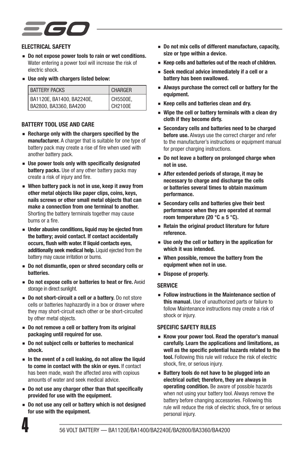#### ELECTRICAL SAFETY

- Do not expose power tools to rain or wet conditions. Water entering a power tool will increase the risk of electric shock.
- Use only with chargers listed below:

| <b>BATTERY PACKS</b>      | <b>CHARGER</b> |
|---------------------------|----------------|
| BA1120E. BA1400. BA2240E. | CH5500E.       |
| BA2800, BA3360, BA4200    | CH2100E        |

#### BATTERY TOOL USE AND CARE

- Recharge only with the chargers specified by the manufacturer. A charger that is suitable for one type of battery pack may create a rise of fire when used with another battery pack.
- Use power tools only with specifically designated battery packs. Use of any other battery packs may create a risk of injury and fire.
- When battery pack is not in use, keep it away from other metal objects like paper clips, coins, keys, nails screws or other small metal objects that can make a connection from one terminal to another. Shorting the battery terminals together may cause burns or a fire.
- Under abusive conditions, liquid may be ejected from the battery; avoid contact. If contact accidentally occurs, flush with water. If liquid contacts eyes, additionally seek medical help. Liquid ejected from the battery may cause irritation or burns.
- Do not dismantle, open or shred secondary cells or batteries.
- Do not expose cells or batteries to heat or fire. Avoid storage in direct sunlight.
- Do not short-circuit a cell or a battery. Do not store cells or batteries haphazardly in a box or drawer where they may short-circuit each other or be short-circuited by other metal objects.
- Do not remove a cell or battery from its original packaging until required for use.
- Do not subject cells or batteries to mechanical shock.
- In the event of a cell leaking, do not allow the liquid to come in contact with the skin or eyes. If contact has been made, wash the affected area with copious amounts of water and seek medical advice.
- Do not use any charger other than that specifically provided for use with the equipment.
- Do not use any cell or battery which is not designed for use with the equipment.
- Do not mix cells of different manufacture, capacity, size or type within a device.
- Keep cells and batteries out of the reach of children.
- Seek medical advice immediately if a cell or a battery has been swallowed.
- Always purchase the correct cell or battery for the equipment.
- Keep cells and batteries clean and dry.
- Wipe the cell or battery terminals with a clean dry cloth if they become dirty.
- Secondary cells and batteries need to be charged before use. Always use the correct charger and refer to the manufacturer's instructions or equipment manual for proper charging instructions.
- Do not leave a battery on prolonged charge when not in use.
- After extended periods of storage, it may be necessary to charge and discharge the cells or batteries several times to obtain maximum performance.
- Secondary cells and batteries give their best performance when they are operated at normal room temperature (20 °C  $\pm$  5 °C).
- Retain the original product literature for future reference.
- Use only the cell or battery in the application for which it was intended.
- When possible, remove the battery from the equipment when not in use.
- Dispose of properly.

#### **SERVICE**

■ Follow instructions in the Maintenance section of this manual. Use of unauthorized parts or failure to follow Maintenance instructions may create a risk of shock or injury.

#### SPECIFIC SAFFTY RULES

- ◾ Know your power tool. Read the operator's manual carefully. Learn the applications and limitations, as well as the specific potential hazards related to the tool. Following this rule will reduce the risk of electric shock, fire, or serious injury.
- Battery tools do not have to be plugged into an electrical outlet; therefore, they are always in operating condition. Be aware of possible hazards when not using your battery tool. Always remove the battery before changing accessories. Following this rule will reduce the risk of electric shock, fire or serious personal injury.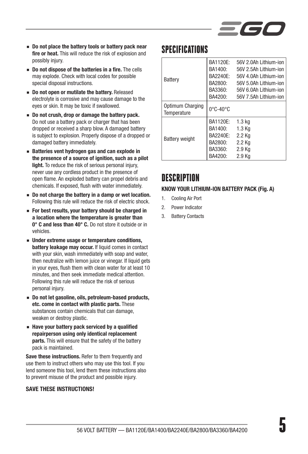

- Do not place the battery tools or battery pack near fire or heat. This will reduce the risk of explosion and possibly injury.
- Do not dispose of the batteries in a fire. The cells may explode. Check with local codes for possible special disposal instructions.
- Do not open or mutilate the battery. Released electrolyte is corrosive and may cause damage to the eyes or skin. It may be toxic if swallowed.
- Do not crush, drop or damage the battery pack. Do not use a battery pack or charger that has been dropped or received a sharp blow. A damaged battery is subject to explosion. Properly dispose of a dropped or damaged battery immediately.
- Batteries vent hydrogen gas and can explode in the presence of a source of ignition, such as a pilot light. To reduce the risk of serious personal injury, never use any cordless product in the presence of open flame. An exploded battery can propel debris and chemicals. If exposed, flush with water immediately.
- Do not charge the battery in a damp or wet location. Following this rule will reduce the risk of electric shock.
- For best results, your battery should be charged in a location where the temperature is greater than 0° C and less than 40° C. Do not store it outside or in vehicles.
- Under extreme usage or temperature conditions, battery leakage may occur. If liquid comes in contact with your skin, wash immediately with soap and water. then neutralize with lemon juice or vinegar. If liquid gets in your eyes, flush them with clean water for at least 10 minutes, and then seek immediate medical attention. Following this rule will reduce the risk of serious personal injury.
- Do not let gasoline, oils, petroleum-based products, etc. come in contact with plastic parts. These substances contain chemicals that can damage, weaken or destroy plastic.
- Have your battery pack serviced by a qualified repairperson using only identical replacement parts. This will ensure that the safety of the battery pack is maintained.

Save these instructions. Refer to them frequently and use them to instruct others who may use this tool. If you lend someone this tool, lend them these instructions also to prevent misuse of the product and possible injury.

#### SAVE THESE INSTRUCTIONS!

### **SPECIFICATIONS**

| Battery                         | <b>BA1120F:</b><br>BA1400:<br>BA2240E:<br>BA2800:<br>BA3360:<br>BA4200: | 56V 2.0Ah Lithium-ion<br>56V 2.5Ah Lithium-ion<br>56V 4.0Ah Lithium-ion<br>56V 5.0Ah Lithium-ion<br>56V 6.0Ah Lithium-ion<br>56V 7.5Ah Lithium-ion |
|---------------------------------|-------------------------------------------------------------------------|----------------------------------------------------------------------------------------------------------------------------------------------------|
| Optimum Charging<br>Temperature | $0^\circ$ C-40 $^\circ$ C                                               |                                                                                                                                                    |
| <b>Battery weight</b>           | BA1120E:<br>BA1400:<br>BA2240E:<br>BA2800:<br>BA3360:<br>BA4200:        | 1.3 <sub>kq</sub><br>1.3 Kg<br>2.2 Kg<br>2.2 Kg<br>2.9 Kg<br>2.9 Kg                                                                                |

## *DESCRIPTION*

#### KNOW YOUR LITHIUM-ION BATTERY PACK (Fig. A)

- 1. Cooling Air Port
- 2. Power Indicator
- 3. Battery Contacts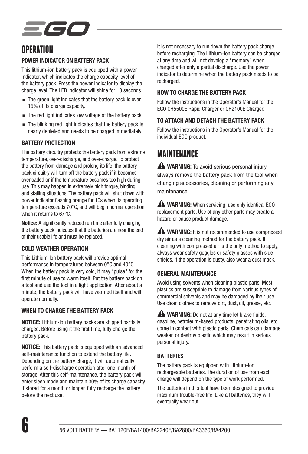# EGC

## **OPERATION**

#### POWER INDICATOR ON BATTERY PACK

This lithium-ion battery pack is equipped with a power indicator, which indicates the charge capacity level of the battery pack. Press the power indicator to display the charge level. The LED indicator will shine for 10 seconds.

- The green light indicates that the battery pack is over 15% of its charge capacity.
- The red light indicates low voltage of the battery pack.
- The blinking red light indicates that the battery pack is nearly depleted and needs to be charged immediately.

#### BATTERY PROTECTION

The battery circuitry protects the battery pack from extreme temperature, over-discharge, and over-charge. To protect the battery from damage and prolong its life, the battery pack circuitry will turn off the battery pack if it becomes overloaded or if the temperature becomes too high during use. This may happen in extremely high torque, binding, and stalling situations. The battery pack will shut down with power indicator flashing orange for 10s when its operating temperature exceeds 70°C, and will begin normal operation when it returns to 67°C.

Notice: A significantly reduced run time after fully charging the battery pack indicates that the batteries are near the end of their usable life and must be replaced.

#### COLD WEATHER OPERATION

This Lithium-Ion battery pack will provide optimal performance in temperatures between 0°C and 40°C. When the battery pack is very cold, it may "pulse" for the first minute of use to warm itself. Put the battery pack on a tool and use the tool in a light application. After about a minute, the battery pack will have warmed itself and will operate normally.

#### WHEN TO CHARGE THE BATTERY PACK

NOTICE: Lithium-Ion battery packs are shipped partially charged. Before using it the first time, fully charge the battery pack.

NOTICE: This battery pack is equipped with an advanced self-maintenance function to extend the battery life. Depending on the battery charge, it will automatically perform a self-discharge operation after one month of storage. After this self-maintenance, the battery pack will enter sleep mode and maintain 30% of its charge capacity. If stored for a month or longer, fully recharge the battery before the next use.

It is not necessary to run down the battery pack charge before recharging. The Lithium-Ion battery can be charged at any time and will not develop a "memory" when charged after only a partial discharge. Use the power indicator to determine when the battery pack needs to be recharged.

#### HOW TO CHARGE THE BATTERY PACK

Follow the instructions in the Operator's Manual for the EGO CH5500E Rapid Charger or CH2100E Charger.

### TO ATTACH AND DETACH THE BATTERY PACK

Follow the instructions in the Operator's Manual for the individual EGO product.

## **MAINTFNANCF**

A WARNING: To avoid serious personal injury, always remove the battery pack from the tool when changing accessories, cleaning or performing any maintenance.

 WARNING: When servicing, use only identical EGO replacement parts. Use of any other parts may create a hazard or cause product damage.

**A WARNING:** It is not recommended to use compressed dry air as a cleaning method for the battery pack. If cleaning with compressed air is the only method to apply, always wear safety goggles or safety glasses with side shields. If the operation is dusty, also wear a dust mask.

#### GENERAL MAINTENANCE

Avoid using solvents when cleaning plastic parts. Most plastics are susceptible to damage from various types of commercial solvents and may be damaged by their use. Use clean clothes to remove dirt, dust, oil, grease, etc.

**A WARNING:** Do not at any time let brake fluids. gasoline, petroleum-based products, penetrating oils, etc. come in contact with plastic parts. Chemicals can damage, weaken or destroy plastic which may result in serious personal injury.

#### **BATTERIES**

The battery pack is equipped with Lithium-Ion rechargeable batteries. The duration of use from each charge will depend on the type of work performed.

The batteries in this tool have been designed to provide maximum trouble-free life. Like all batteries, they will eventually wear out.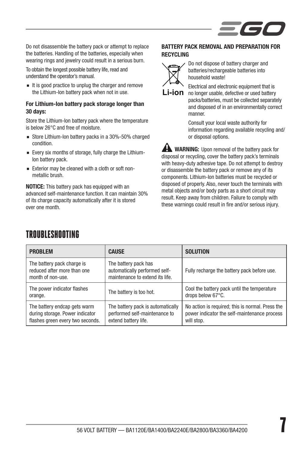

Do not disassemble the battery pack or attempt to replace the batteries. Handling of the batteries, especially when wearing rings and jewelry could result in a serious burn.

To obtain the longest possible battery life, read and understand the operator's manual.

■ It is good practice to unplug the charger and remove the Lithium-Ion battery pack when not in use.

#### For Lithium-Ion battery pack storage longer than 30 days:

Store the Lithium-Ion battery pack where the temperature is below 26°C and free of moisture.

- Store Lithium-Ion battery packs in a 30%-50% charged condition.
- Every six months of storage, fully charge the Lithium-Ion battery pack.
- Exterior may be cleaned with a cloth or soft nonmetallic brush.

NOTICE: This battery pack has equipped with an advanced self-maintenance function. It can maintain 30% of its charge capacity automatically after it is stored over one month.

#### BATTERY PACK REMOVAL AND PREPARATION FOR **RECYCLING**



Do not dispose of battery charger and batteries/rechargeable batteries into household waste!

**Li-ion** no longer usable, defective or used battery Electrical and electronic equipment that is packs/batteries, must be collected separately and disposed of in an environmentally correct manner.

> Consult your local waste authority for information regarding available recycling and/ or disposal options.

**WARNING:** Upon removal of the battery pack for disposal or recycling, cover the battery pack's terminals with heavy-duty adhesive tape. Do not attempt to destroy or disassemble the battery pack or remove any of its components. Lithium-Ion batteries must be recycled or disposed of properly. Also, never touch the terminals with metal objects and/or body parts as a short circuit may result. Keep away from children. Failure to comply with these warnings could result in fire and/or serious injury.

| <b>PROBLEM</b>                                                                                      | <b>CAUSE</b>                                                                               | <b>SOLUTION</b>                                                                                                |
|-----------------------------------------------------------------------------------------------------|--------------------------------------------------------------------------------------------|----------------------------------------------------------------------------------------------------------------|
| The battery pack charge is<br>reduced after more than one<br>month of non-use.                      | The battery pack has<br>automatically performed self-<br>maintenance to extend its life.   | Fully recharge the battery pack before use.                                                                    |
| The power indicator flashes<br>orange.                                                              | The battery is too hot.                                                                    | Cool the battery pack until the temperature<br>drops below 67°C.                                               |
| The battery endcap gets warm<br>during storage. Power indicator<br>flashes green every two seconds. | The battery pack is automatically<br>performed self-maintenance to<br>extend battery life. | No action is required; this is normal. Press the<br>power indicator the self-maintenance process<br>will stop. |

## TROUBLESHOOTING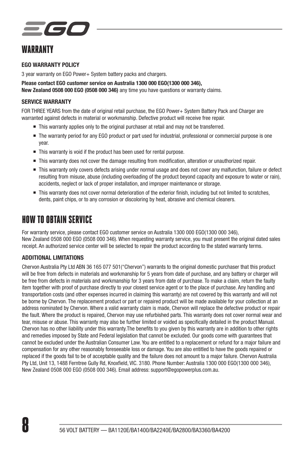## EGC

## WARRANTY

#### EGO WARRANTY POLICY

3 year warranty on EGO Power+ System battery packs and chargers.

Please contact EGO customer service on Australia 1300 000 EGO(1300 000 346), New Zealand 0508 000 EGO (0508 000 346) any time you have questions or warranty claims.

#### SERVICE WARRANTY

FOR THREE YEARS from the date of original retail purchase, the EGO Power+ System Battery Pack and Charger are warranted against defects in material or workmanship. Defective product will receive free repair.

- This warranty applies only to the original purchaser at retail and may not be transferred.
- The warranty period for any EGO product or part used for industrial, professional or commercial purpose is one year.
- This warranty is void if the product has been used for rental purpose.
- This warranty does not cover the damage resulting from modification, alteration or unauthorized repair.
- This warranty only covers defects arising under normal usage and does not cover any malfunction, failure or defect resulting from misuse, abuse (including overloading of the product beyond capacity and exposure to water or rain), accidents, neglect or lack of proper installation, and improper maintenance or storage.
- This warranty does not cover normal deterioration of the exterior finish, including but not limited to scratches dents, paint chips, or to any corrosion or discoloring by heat, abrasive and chemical cleaners.

## HOW TO OBTAIN SERVICE

For warranty service, please contact EGO customer service on Australia 1300 000 EGO(1300 000 346), New Zealand 0508 000 EGO (0508 000 346). When requesting warranty service, you must present the original dated sales receipt. An authorized service center will be selected to repair the product according to the stated warranty terms.

#### ADDITIONAL LIMITATIONS

Chervon Australia Pty Ltd ABN 36 165 077 501("Chervon") warrants to the original domestic purchaser that this product will be free from defects in materials and workmanship for 5 years from date of purchase, and any battery or charger will be free from defects in materials and workmanship for 3 years from date of purchase. To make a claim, return the faulty item together with proof of purchase directly to your closest service agent or to the place of purchase. Any handling and transportation costs (and other expenses incurred in claiming this warranty) are not covered by this warranty and will not be borne by Chervon. The replacement product or part or repaired product will be made available for your collection at an address nominated by Chervon. Where a valid warranty claim is made, Chervon will replace the defective product or repair the fault. Where the product is repaired, Chervon may use refurbished parts. This warranty does not cover normal wear and tear, misuse or abuse. This warranty may also be further limited or voided as specifically detailed in the product Manual. Chervon has no other liability under this warranty.The benefits to you given by this warranty are in addition to other rights and remedies imposed by State and Federal legislation that cannot be excluded. Our goods come with guarantees that cannot be excluded under the Australian Consumer Law. You are entitled to a replacement or refund for a major failure and compensation for any other reasonably foreseeable loss or damage. You are also entitled to have the goods repaired or replaced if the goods fail to be of acceptable quality and the failure does not amount to a major failure. Chervon Australia Pty Ltd, Unit 13, 1488 Ferntree Gully Rd, Knoxfield, VIC. 3180. Phone Number: Australia 1300 000 EGO(1300 000 346), New Zealand 0508 000 EGO (0508 000 346). Email address: support@egopowerplus.com.au.